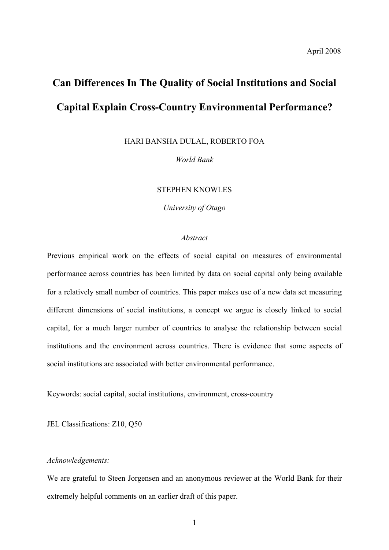# **Can Differences In The Quality of Social Institutions and Social Capital Explain Cross-Country Environmental Performance?**

HARI BANSHA DULAL, ROBERTO FOA

*World Bank*

# STEPHEN KNOWLES

*University of Otago*

#### *Abstract*

Previous empirical work on the effects of social capital on measures of environmental performance across countries has been limited by data on social capital only being available for a relatively small number of countries. This paper makes use of a new data set measuring different dimensions of social institutions, a concept we argue is closely linked to social capital, for a much larger number of countries to analyse the relationship between social institutions and the environment across countries. There is evidence that some aspects of social institutions are associated with better environmental performance.

Keywords: social capital, social institutions, environment, cross-country

JEL Classifications: Z10, Q50

#### *Acknowledgements:*

We are grateful to Steen Jorgensen and an anonymous reviewer at the World Bank for their extremely helpful comments on an earlier draft of this paper.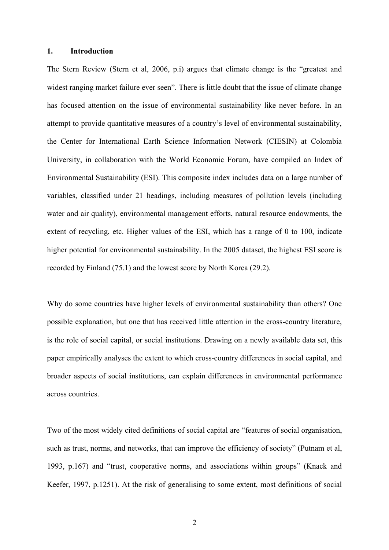#### **1. Introduction**

The Stern Review (Stern et al, 2006, p.i) argues that climate change is the "greatest and widest ranging market failure ever seen". There is little doubt that the issue of climate change has focused attention on the issue of environmental sustainability like never before. In an attempt to provide quantitative measures of a country's level of environmental sustainability, the Center for International Earth Science Information Network (CIESIN) at Colombia University, in collaboration with the World Economic Forum, have compiled an Index of Environmental Sustainability (ESI). This composite index includes data on a large number of variables, classified under 21 headings, including measures of pollution levels (including water and air quality), environmental management efforts, natural resource endowments, the extent of recycling, etc. Higher values of the ESI, which has a range of 0 to 100, indicate higher potential for environmental sustainability. In the 2005 dataset, the highest ESI score is recorded by Finland (75.1) and the lowest score by North Korea (29.2).

Why do some countries have higher levels of environmental sustainability than others? One possible explanation, but one that has received little attention in the cross-country literature, is the role of social capital, or social institutions. Drawing on a newly available data set, this paper empirically analyses the extent to which cross-country differences in social capital, and broader aspects of social institutions, can explain differences in environmental performance across countries.

Two of the most widely cited definitions of social capital are "features of social organisation, such as trust, norms, and networks, that can improve the efficiency of society" (Putnam et al, 1993, p.167) and "trust, cooperative norms, and associations within groups" (Knack and Keefer, 1997, p.1251). At the risk of generalising to some extent, most definitions of social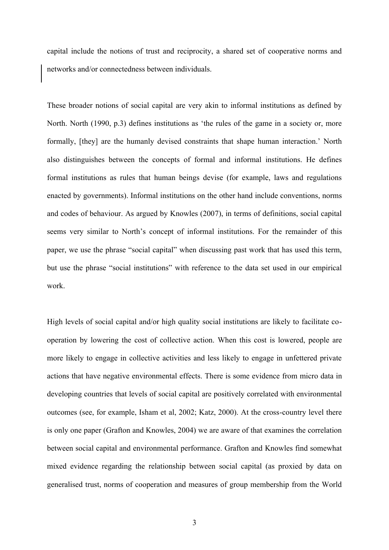capital include the notions of trust and reciprocity, a shared set of cooperative norms and networks and/or connectedness between individuals.

These broader notions of social capital are very akin to informal institutions as defined by North. North (1990, p.3) defines institutions as 'the rules of the game in a society or, more formally, [they] are the humanly devised constraints that shape human interaction.' North also distinguishes between the concepts of formal and informal institutions. He defines formal institutions as rules that human beings devise (for example, laws and regulations enacted by governments). Informal institutions on the other hand include conventions, norms and codes of behaviour. As argued by Knowles (2007), in terms of definitions, social capital seems very similar to North's concept of informal institutions. For the remainder of this paper, we use the phrase "social capital" when discussing past work that has used this term, but use the phrase "social institutions" with reference to the data set used in our empirical work.

High levels of social capital and/or high quality social institutions are likely to facilitate cooperation by lowering the cost of collective action. When this cost is lowered, people are more likely to engage in collective activities and less likely to engage in unfettered private actions that have negative environmental effects. There is some evidence from micro data in developing countries that levels of social capital are positively correlated with environmental outcomes (see, for example, Isham et al, 2002; Katz, 2000). At the cross-country level there is only one paper (Grafton and Knowles, 2004) we are aware of that examines the correlation between social capital and environmental performance. Grafton and Knowles find somewhat mixed evidence regarding the relationship between social capital (as proxied by data on generalised trust, norms of cooperation and measures of group membership from the World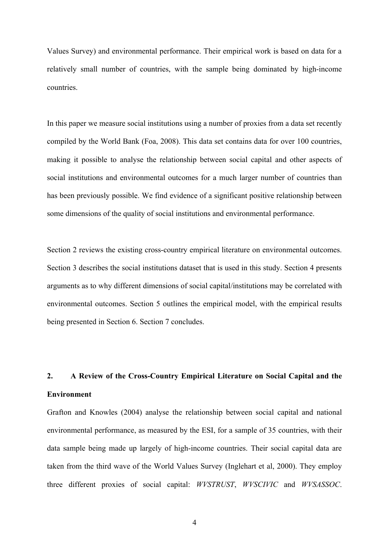Values Survey) and environmental performance. Their empirical work is based on data for a relatively small number of countries, with the sample being dominated by high-income countries.

In this paper we measure social institutions using a number of proxies from a data set recently compiled by the World Bank (Foa, 2008). This data set contains data for over 100 countries, making it possible to analyse the relationship between social capital and other aspects of social institutions and environmental outcomes for a much larger number of countries than has been previously possible. We find evidence of a significant positive relationship between some dimensions of the quality of social institutions and environmental performance.

Section 2 reviews the existing cross-country empirical literature on environmental outcomes. Section 3 describes the social institutions dataset that is used in this study. Section 4 presents arguments as to why different dimensions of social capital/institutions may be correlated with environmental outcomes. Section 5 outlines the empirical model, with the empirical results being presented in Section 6. Section 7 concludes.

# **2. A Review of the Cross-Country Empirical Literature on Social Capital and the Environment**

Grafton and Knowles (2004) analyse the relationship between social capital and national environmental performance, as measured by the ESI, for a sample of 35 countries, with their data sample being made up largely of high-income countries. Their social capital data are taken from the third wave of the World Values Survey (Inglehart et al, 2000). They employ three different proxies of social capital: *WVSTRUST*, *WVSCIVIC* and *WVSASSOC*.

4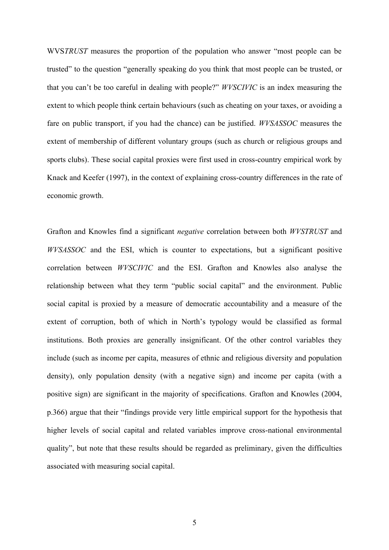WVS*TRUST* measures the proportion of the population who answer "most people can be trusted" to the question "generally speaking do you think that most people can be trusted, or that you can't be too careful in dealing with people?" *WVSCIVIC* is an index measuring the extent to which people think certain behaviours (such as cheating on your taxes, or avoiding a fare on public transport, if you had the chance) can be justified. *WVSASSOC* measures the extent of membership of different voluntary groups (such as church or religious groups and sports clubs). These social capital proxies were first used in cross-country empirical work by Knack and Keefer (1997), in the context of explaining cross-country differences in the rate of economic growth.

Grafton and Knowles find a significant *negative* correlation between both *WVSTRUST* and *WVSASSOC* and the ESI, which is counter to expectations, but a significant positive correlation between *WVSCIVIC* and the ESI. Grafton and Knowles also analyse the relationship between what they term "public social capital" and the environment. Public social capital is proxied by a measure of democratic accountability and a measure of the extent of corruption, both of which in North's typology would be classified as formal institutions. Both proxies are generally insignificant. Of the other control variables they include (such as income per capita, measures of ethnic and religious diversity and population density), only population density (with a negative sign) and income per capita (with a positive sign) are significant in the majority of specifications. Grafton and Knowles (2004, p.366) argue that their "findings provide very little empirical support for the hypothesis that higher levels of social capital and related variables improve cross-national environmental quality", but note that these results should be regarded as preliminary, given the difficulties associated with measuring social capital.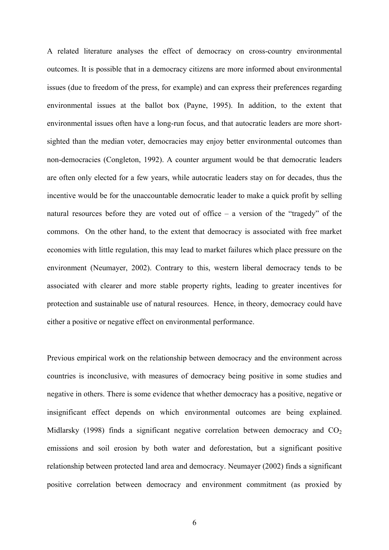A related literature analyses the effect of democracy on cross-country environmental outcomes. It is possible that in a democracy citizens are more informed about environmental issues (due to freedom of the press, for example) and can express their preferences regarding environmental issues at the ballot box (Payne, 1995). In addition, to the extent that environmental issues often have a long-run focus, and that autocratic leaders are more shortsighted than the median voter, democracies may enjoy better environmental outcomes than non-democracies (Congleton, 1992). A counter argument would be that democratic leaders are often only elected for a few years, while autocratic leaders stay on for decades, thus the incentive would be for the unaccountable democratic leader to make a quick profit by selling natural resources before they are voted out of office – a version of the "tragedy" of the commons. On the other hand, to the extent that democracy is associated with free market economies with little regulation, this may lead to market failures which place pressure on the environment (Neumayer, 2002). Contrary to this, western liberal democracy tends to be associated with clearer and more stable property rights, leading to greater incentives for protection and sustainable use of natural resources. Hence, in theory, democracy could have either a positive or negative effect on environmental performance.

Previous empirical work on the relationship between democracy and the environment across countries is inconclusive, with measures of democracy being positive in some studies and negative in others. There is some evidence that whether democracy has a positive, negative or insignificant effect depends on which environmental outcomes are being explained. Midlarsky (1998) finds a significant negative correlation between democracy and  $CO<sub>2</sub>$ emissions and soil erosion by both water and deforestation, but a significant positive relationship between protected land area and democracy. Neumayer (2002) finds a significant positive correlation between democracy and environment commitment (as proxied by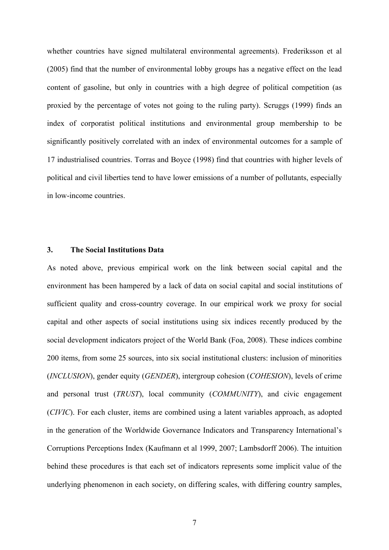whether countries have signed multilateral environmental agreements). Frederiksson et al (2005) find that the number of environmental lobby groups has a negative effect on the lead content of gasoline, but only in countries with a high degree of political competition (as proxied by the percentage of votes not going to the ruling party). Scruggs (1999) finds an index of corporatist political institutions and environmental group membership to be significantly positively correlated with an index of environmental outcomes for a sample of 17 industrialised countries. Torras and Boyce (1998) find that countries with higher levels of political and civil liberties tend to have lower emissions of a number of pollutants, especially in low-income countries.

#### **3. The Social Institutions Data**

As noted above, previous empirical work on the link between social capital and the environment has been hampered by a lack of data on social capital and social institutions of sufficient quality and cross-country coverage. In our empirical work we proxy for social capital and other aspects of social institutions using six indices recently produced by the social development indicators project of the World Bank (Foa, 2008). These indices combine 200 items, from some 25 sources, into six social institutional clusters: inclusion of minorities (*INCLUSION*), gender equity (*GENDER*), intergroup cohesion (*COHESION*), levels of crime and personal trust (*TRUST*), local community (*COMMUNITY*), and civic engagement (*CIVIC*). For each cluster, items are combined using a latent variables approach, as adopted in the generation of the Worldwide Governance Indicators and Transparency International's Corruptions Perceptions Index (Kaufmann et al 1999, 2007; Lambsdorff 2006). The intuition behind these procedures is that each set of indicators represents some implicit value of the underlying phenomenon in each society, on differing scales, with differing country samples,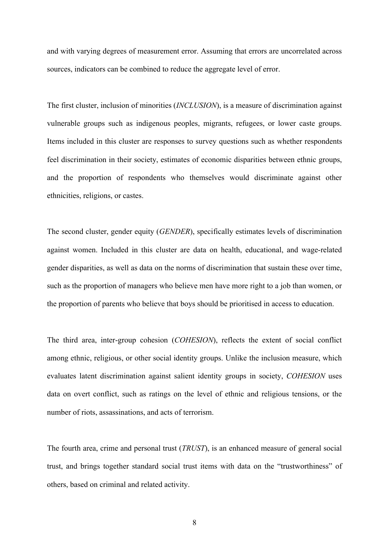and with varying degrees of measurement error. Assuming that errors are uncorrelated across sources, indicators can be combined to reduce the aggregate level of error.

The first cluster, inclusion of minorities (*INCLUSION*), is a measure of discrimination against vulnerable groups such as indigenous peoples, migrants, refugees, or lower caste groups. Items included in this cluster are responses to survey questions such as whether respondents feel discrimination in their society, estimates of economic disparities between ethnic groups, and the proportion of respondents who themselves would discriminate against other ethnicities, religions, or castes.

The second cluster, gender equity (*GENDER*), specifically estimates levels of discrimination against women. Included in this cluster are data on health, educational, and wage-related gender disparities, as well as data on the norms of discrimination that sustain these over time, such as the proportion of managers who believe men have more right to a job than women, or the proportion of parents who believe that boys should be prioritised in access to education.

The third area, inter-group cohesion (*COHESION*), reflects the extent of social conflict among ethnic, religious, or other social identity groups. Unlike the inclusion measure, which evaluates latent discrimination against salient identity groups in society, *COHESION* uses data on overt conflict, such as ratings on the level of ethnic and religious tensions, or the number of riots, assassinations, and acts of terrorism.

The fourth area, crime and personal trust (*TRUST*), is an enhanced measure of general social trust, and brings together standard social trust items with data on the "trustworthiness" of others, based on criminal and related activity.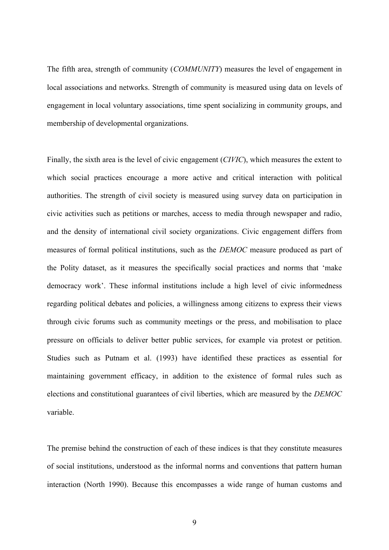The fifth area, strength of community (*COMMUNITY*) measures the level of engagement in local associations and networks. Strength of community is measured using data on levels of engagement in local voluntary associations, time spent socializing in community groups, and membership of developmental organizations.

Finally, the sixth area is the level of civic engagement (*CIVIC*), which measures the extent to which social practices encourage a more active and critical interaction with political authorities. The strength of civil society is measured using survey data on participation in civic activities such as petitions or marches, access to media through newspaper and radio, and the density of international civil society organizations. Civic engagement differs from measures of formal political institutions, such as the *DEMOC* measure produced as part of the Polity dataset, as it measures the specifically social practices and norms that 'make democracy work'. These informal institutions include a high level of civic informedness regarding political debates and policies, a willingness among citizens to express their views through civic forums such as community meetings or the press, and mobilisation to place pressure on officials to deliver better public services, for example via protest or petition. Studies such as Putnam et al. (1993) have identified these practices as essential for maintaining government efficacy, in addition to the existence of formal rules such as elections and constitutional guarantees of civil liberties, which are measured by the *DEMOC* variable.

The premise behind the construction of each of these indices is that they constitute measures of social institutions, understood as the informal norms and conventions that pattern human interaction (North 1990). Because this encompasses a wide range of human customs and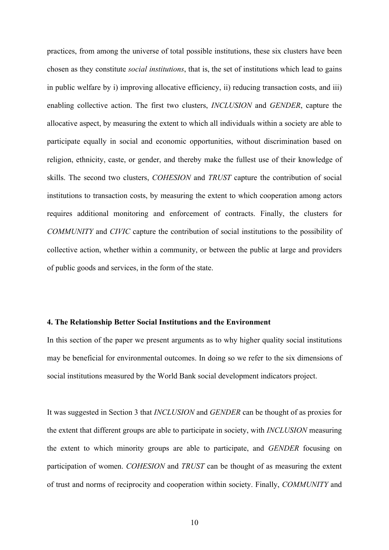practices, from among the universe of total possible institutions, these six clusters have been chosen as they constitute *social institutions*, that is, the set of institutions which lead to gains in public welfare by i) improving allocative efficiency, ii) reducing transaction costs, and iii) enabling collective action. The first two clusters, *INCLUSION* and *GENDER*, capture the allocative aspect, by measuring the extent to which all individuals within a society are able to participate equally in social and economic opportunities, without discrimination based on religion, ethnicity, caste, or gender, and thereby make the fullest use of their knowledge of skills. The second two clusters, *COHESION* and *TRUST* capture the contribution of social institutions to transaction costs, by measuring the extent to which cooperation among actors requires additional monitoring and enforcement of contracts. Finally, the clusters for *COMMUNITY* and *CIVIC* capture the contribution of social institutions to the possibility of collective action, whether within a community, or between the public at large and providers of public goods and services, in the form of the state.

#### **4. The Relationship Better Social Institutions and the Environment**

In this section of the paper we present arguments as to why higher quality social institutions may be beneficial for environmental outcomes. In doing so we refer to the six dimensions of social institutions measured by the World Bank social development indicators project.

It was suggested in Section 3 that *INCLUSION* and *GENDER* can be thought of as proxies for the extent that different groups are able to participate in society, with *INCLUSION* measuring the extent to which minority groups are able to participate, and *GENDER* focusing on participation of women. *COHESION* and *TRUST* can be thought of as measuring the extent of trust and norms of reciprocity and cooperation within society. Finally, *COMMUNITY* and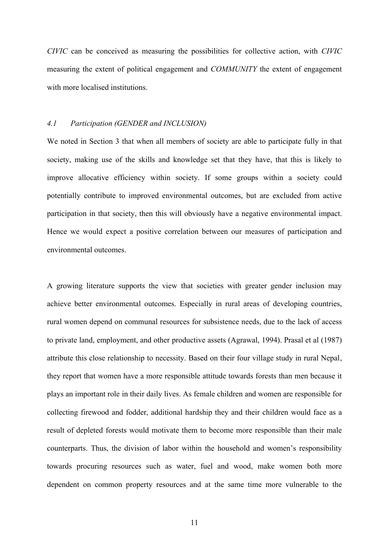*CIVIC* can be conceived as measuring the possibilities for collective action, with *CIVIC* measuring the extent of political engagement and *COMMUNITY* the extent of engagement with more localised institutions.

## *4.1 Participation (GENDER and INCLUSION)*

We noted in Section 3 that when all members of society are able to participate fully in that society, making use of the skills and knowledge set that they have, that this is likely to improve allocative efficiency within society. If some groups within a society could potentially contribute to improved environmental outcomes, but are excluded from active participation in that society, then this will obviously have a negative environmental impact. Hence we would expect a positive correlation between our measures of participation and environmental outcomes.

A growing literature supports the view that societies with greater gender inclusion may achieve better environmental outcomes. Especially in rural areas of developing countries, rural women depend on communal resources for subsistence needs, due to the lack of access to private land, employment, and other productive assets (Agrawal, 1994). Prasal et al (1987) attribute this close relationship to necessity. Based on their four village study in rural Nepal, they report that women have a more responsible attitude towards forests than men because it plays an important role in their daily lives. As female children and women are responsible for collecting firewood and fodder, additional hardship they and their children would face as a result of depleted forests would motivate them to become more responsible than their male counterparts. Thus, the division of labor within the household and women's responsibility towards procuring resources such as water, fuel and wood, make women both more dependent on common property resources and at the same time more vulnerable to the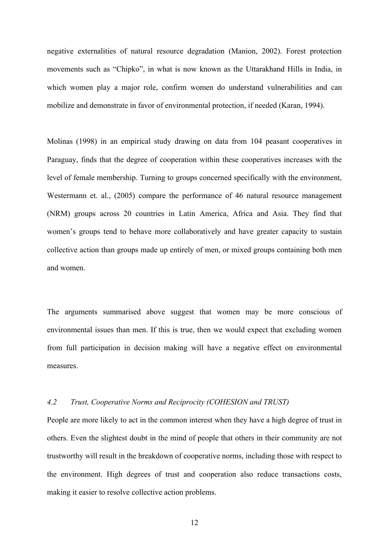negative externalities of natural resource degradation (Manion, 2002). Forest protection movements such as "Chipko", in what is now known as the Uttarakhand Hills in India, in which women play a major role, confirm women do understand vulnerabilities and can mobilize and demonstrate in favor of environmental protection, if needed (Karan, 1994).

Molinas (1998) in an empirical study drawing on data from 104 peasant cooperatives in Paraguay, finds that the degree of cooperation within these cooperatives increases with the level of female membership. Turning to groups concerned specifically with the environment, Westermann et. al., (2005) compare the performance of 46 natural resource management (NRM) groups across 20 countries in Latin America, Africa and Asia. They find that women's groups tend to behave more collaboratively and have greater capacity to sustain collective action than groups made up entirely of men, or mixed groups containing both men and women.

The arguments summarised above suggest that women may be more conscious of environmental issues than men. If this is true, then we would expect that excluding women from full participation in decision making will have a negative effect on environmental measures.

# *4.2 Trust, Cooperative Norms and Reciprocity (COHESION and TRUST)*

People are more likely to act in the common interest when they have a high degree of trust in others. Even the slightest doubt in the mind of people that others in their community are not trustworthy will result in the breakdown of cooperative norms, including those with respect to the environment. High degrees of trust and cooperation also reduce transactions costs, making it easier to resolve collective action problems.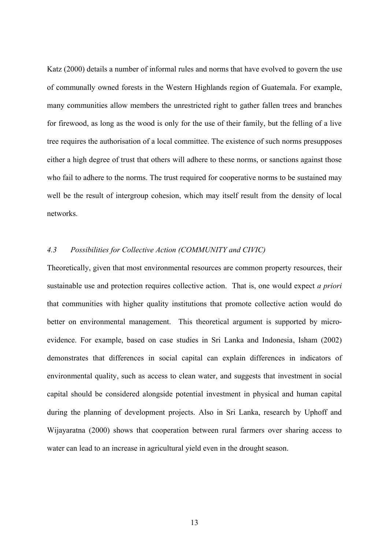Katz (2000) details a number of informal rules and norms that have evolved to govern the use of communally owned forests in the Western Highlands region of Guatemala. For example, many communities allow members the unrestricted right to gather fallen trees and branches for firewood, as long as the wood is only for the use of their family, but the felling of a live tree requires the authorisation of a local committee. The existence of such norms presupposes either a high degree of trust that others will adhere to these norms, or sanctions against those who fail to adhere to the norms. The trust required for cooperative norms to be sustained may well be the result of intergroup cohesion, which may itself result from the density of local networks.

# *4.3 Possibilities for Collective Action (COMMUNITY and CIVIC)*

Theoretically, given that most environmental resources are common property resources, their sustainable use and protection requires collective action. That is, one would expect *a priori* that communities with higher quality institutions that promote collective action would do better on environmental management. This theoretical argument is supported by microevidence. For example, based on case studies in Sri Lanka and Indonesia, Isham (2002) demonstrates that differences in social capital can explain differences in indicators of environmental quality, such as access to clean water, and suggests that investment in social capital should be considered alongside potential investment in physical and human capital during the planning of development projects. Also in Sri Lanka, research by Uphoff and Wijayaratna (2000) shows that cooperation between rural farmers over sharing access to water can lead to an increase in agricultural yield even in the drought season.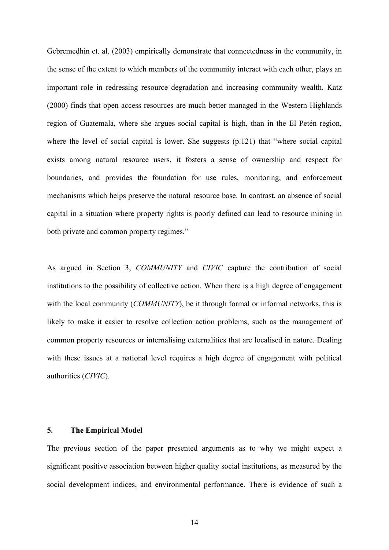Gebremedhin et. al. (2003) empirically demonstrate that connectedness in the community, in the sense of the extent to which members of the community interact with each other, plays an important role in redressing resource degradation and increasing community wealth. Katz (2000) finds that open access resources are much better managed in the Western Highlands region of Guatemala, where she argues social capital is high, than in the El Petén region, where the level of social capital is lower. She suggests (p.121) that "where social capital exists among natural resource users, it fosters a sense of ownership and respect for boundaries, and provides the foundation for use rules, monitoring, and enforcement mechanisms which helps preserve the natural resource base. In contrast, an absence of social capital in a situation where property rights is poorly defined can lead to resource mining in both private and common property regimes."

As argued in Section 3, *COMMUNITY* and *CIVIC* capture the contribution of social institutions to the possibility of collective action. When there is a high degree of engagement with the local community (*COMMUNITY*), be it through formal or informal networks, this is likely to make it easier to resolve collection action problems, such as the management of common property resources or internalising externalities that are localised in nature. Dealing with these issues at a national level requires a high degree of engagement with political authorities (*CIVIC*).

# **5. The Empirical Model**

The previous section of the paper presented arguments as to why we might expect a significant positive association between higher quality social institutions, as measured by the social development indices, and environmental performance. There is evidence of such a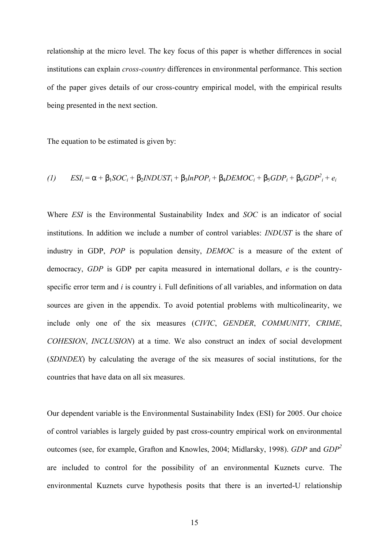relationship at the micro level. The key focus of this paper is whether differences in social institutions can explain *cross-country* differences in environmental performance. This section of the paper gives details of our cross-country empirical model, with the empirical results being presented in the next section.

The equation to be estimated is given by:

$$
(1) \qquad ESI_i = \alpha + \beta_1 SOC_i + \beta_2 INDUST_i + \beta_3 InPOP_i + \beta_4 DEMOC_i + \beta_5 GDP_i + \beta_6 GDP_i^2 + e_i
$$

Where *ESI* is the Environmental Sustainability Index and *SOC* is an indicator of social institutions. In addition we include a number of control variables: *INDUST* is the share of industry in GDP, *POP* is population density, *DEMOC* is a measure of the extent of democracy, *GDP* is GDP per capita measured in international dollars, *e* is the countryspecific error term and *i* is country i. Full definitions of all variables, and information on data sources are given in the appendix. To avoid potential problems with multicolinearity, we include only one of the six measures (*CIVIC*, *GENDER*, *COMMUNITY*, *CRIME*, *COHESION*, *INCLUSION*) at a time. We also construct an index of social development (*SDINDEX*) by calculating the average of the six measures of social institutions, for the countries that have data on all six measures.

Our dependent variable is the Environmental Sustainability Index (ESI) for 2005. Our choice of control variables is largely guided by past cross-country empirical work on environmental outcomes (see, for example, Grafton and Knowles, 2004; Midlarsky, 1998). *GDP* and *GDP<sup>2</sup>* are included to control for the possibility of an environmental Kuznets curve. The environmental Kuznets curve hypothesis posits that there is an inverted-U relationship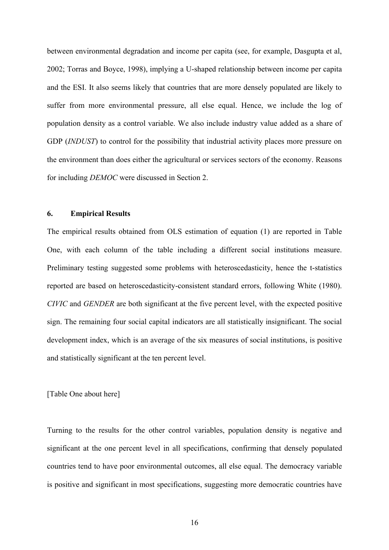between environmental degradation and income per capita (see, for example, Dasgupta et al, 2002; Torras and Boyce, 1998), implying a U-shaped relationship between income per capita and the ESI. It also seems likely that countries that are more densely populated are likely to suffer from more environmental pressure, all else equal. Hence, we include the log of population density as a control variable. We also include industry value added as a share of GDP *(INDUST)* to control for the possibility that industrial activity places more pressure on the environment than does either the agricultural or services sectors of the economy. Reasons for including *DEMOC* were discussed in Section 2.

# **6. Empirical Results**

The empirical results obtained from OLS estimation of equation (1) are reported in Table One, with each column of the table including a different social institutions measure. Preliminary testing suggested some problems with heteroscedasticity, hence the t-statistics reported are based on heteroscedasticity-consistent standard errors, following White (1980). *CIVIC* and *GENDER* are both significant at the five percent level, with the expected positive sign. The remaining four social capital indicators are all statistically insignificant. The social development index, which is an average of the six measures of social institutions, is positive and statistically significant at the ten percent level.

# [Table One about here]

Turning to the results for the other control variables, population density is negative and significant at the one percent level in all specifications, confirming that densely populated countries tend to have poor environmental outcomes, all else equal. The democracy variable is positive and significant in most specifications, suggesting more democratic countries have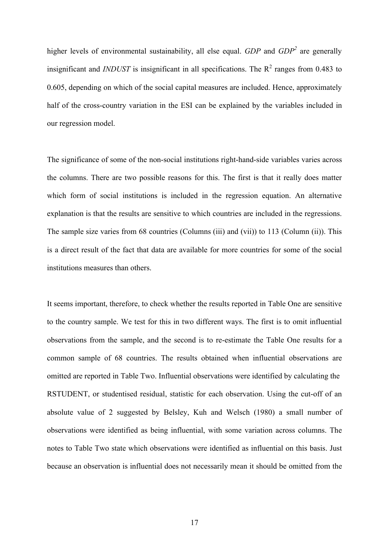higher levels of environmental sustainability, all else equal. *GDP* and *GDP<sup>2</sup>* are generally insignificant and *INDUST* is insignificant in all specifications. The  $R^2$  ranges from 0.483 to 0.605, depending on which of the social capital measures are included. Hence, approximately half of the cross-country variation in the ESI can be explained by the variables included in our regression model.

The significance of some of the non-social institutions right-hand-side variables varies across the columns. There are two possible reasons for this. The first is that it really does matter which form of social institutions is included in the regression equation. An alternative explanation is that the results are sensitive to which countries are included in the regressions. The sample size varies from 68 countries (Columns (iii) and (vii)) to 113 (Column (ii)). This is a direct result of the fact that data are available for more countries for some of the social institutions measures than others.

It seems important, therefore, to check whether the results reported in Table One are sensitive to the country sample. We test for this in two different ways. The first is to omit influential observations from the sample, and the second is to re-estimate the Table One results for a common sample of 68 countries. The results obtained when influential observations are omitted are reported in Table Two. Influential observations were identified by calculating the RSTUDENT, or studentised residual, statistic for each observation. Using the cut-off of an absolute value of 2 suggested by Belsley, Kuh and Welsch (1980) a small number of observations were identified as being influential, with some variation across columns. The notes to Table Two state which observations were identified as influential on this basis. Just because an observation is influential does not necessarily mean it should be omitted from the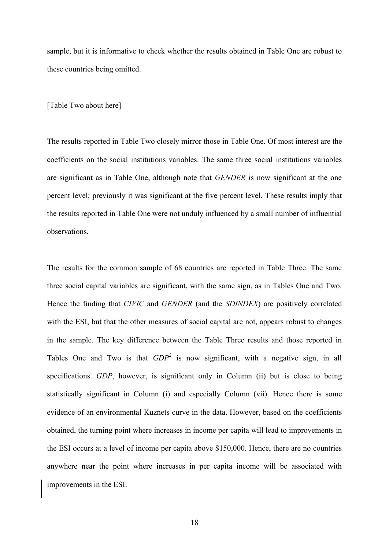sample, but it is informative to check whether the results obtained in Table One are robust to these countries being omitted.

#### [Table Two about here]

The results reported in Table Two closely mirror those in Table One. Of most interest are the coefficients on the social institutions variables. The same three social institutions variables are significant as in Table One, although note that *GENDER* is now significant at the one percent level; previously it was significant at the five percent level. These results imply that the results reported in Table One were not unduly influenced by a small number of influential observations.

The results for the common sample of 68 countries are reported in Table Three. The same three social capital variables are significant, with the same sign, as in Tables One and Two. Hence the finding that *CIVIC* and *GENDER* (and the *SDINDEX*) are positively correlated with the ESI, but that the other measures of social capital are not, appears robust to changes in the sample. The key difference between the Table Three results and those reported in Tables One and Two is that  $GDP^2$  is now significant, with a negative sign, in all specifications. *GDP*, however, is significant only in Column (ii) but is close to being statistically significant in Column (i) and especially Column (vii). Hence there is some evidence of an environmental Kuznets curve in the data. However, based on the coefficients obtained, the turning point where increases in income per capita will lead to improvements in the ESI occurs at a level of income per capita above \$150,000. Hence, there are no countries anywhere near the point where increases in per capita income will be associated with improvements in the ESI.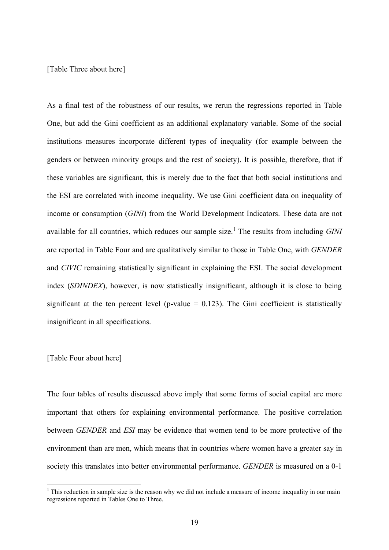[Table Three about here]

As a final test of the robustness of our results, we rerun the regressions reported in Table One, but add the Gini coefficient as an additional explanatory variable. Some of the social institutions measures incorporate different types of inequality (for example between the genders or between minority groups and the rest of society). It is possible, therefore, that if these variables are significant, this is merely due to the fact that both social institutions and the ESI are correlated with income inequality. We use Gini coefficient data on inequality of income or consumption (*GINI*) from the World Development Indicators. These data are not available for all countries, which reduces our sample size.<sup>1</sup> The results from including *GINI* are reported in Table Four and are qualitatively similar to those in Table One, with *GENDER* and *CIVIC* remaining statistically significant in explaining the ESI. The social development index (*SDINDEX*), however, is now statistically insignificant, although it is close to being significant at the ten percent level (p-value  $= 0.123$ ). The Gini coefficient is statistically insignificant in all specifications.

#### [Table Four about here]

 $\overline{a}$ 

The four tables of results discussed above imply that some forms of social capital are more important that others for explaining environmental performance. The positive correlation between *GENDER* and *ESI* may be evidence that women tend to be more protective of the environment than are men, which means that in countries where women have a greater say in society this translates into better environmental performance. *GENDER* is measured on a 0-1

 $<sup>1</sup>$  This reduction in sample size is the reason why we did not include a measure of income inequality in our main</sup> regressions reported in Tables One to Three.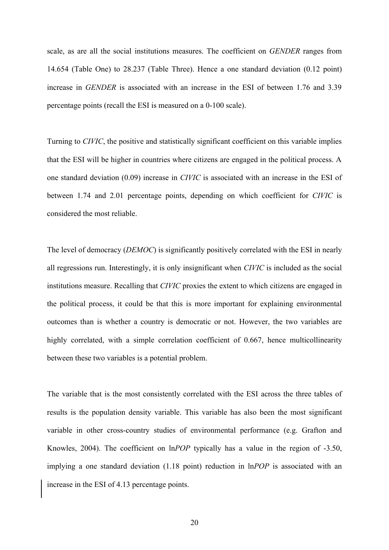scale, as are all the social institutions measures. The coefficient on *GENDER* ranges from 14.654 (Table One) to 28.237 (Table Three). Hence a one standard deviation (0.12 point) increase in *GENDER* is associated with an increase in the ESI of between 1.76 and 3.39 percentage points (recall the ESI is measured on a 0-100 scale).

Turning to *CIVIC*, the positive and statistically significant coefficient on this variable implies that the ESI will be higher in countries where citizens are engaged in the political process. A one standard deviation (0.09) increase in *CIVIC* is associated with an increase in the ESI of between 1.74 and 2.01 percentage points, depending on which coefficient for *CIVIC* is considered the most reliable.

The level of democracy (*DEMOC*) is significantly positively correlated with the ESI in nearly all regressions run. Interestingly, it is only insignificant when *CIVIC* is included as the social institutions measure. Recalling that *CIVIC* proxies the extent to which citizens are engaged in the political process, it could be that this is more important for explaining environmental outcomes than is whether a country is democratic or not. However, the two variables are highly correlated, with a simple correlation coefficient of 0.667, hence multicollinearity between these two variables is a potential problem.

The variable that is the most consistently correlated with the ESI across the three tables of results is the population density variable. This variable has also been the most significant variable in other cross-country studies of environmental performance (e.g. Grafton and Knowles, 2004). The coefficient on ln*POP* typically has a value in the region of -3.50, implying a one standard deviation (1.18 point) reduction in ln*POP* is associated with an increase in the ESI of 4.13 percentage points.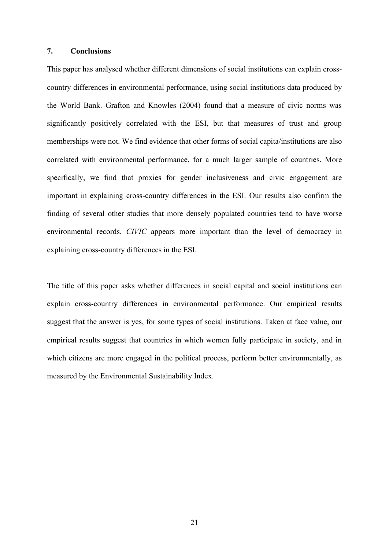# **7. Conclusions**

This paper has analysed whether different dimensions of social institutions can explain crosscountry differences in environmental performance, using social institutions data produced by the World Bank. Grafton and Knowles (2004) found that a measure of civic norms was significantly positively correlated with the ESI, but that measures of trust and group memberships were not. We find evidence that other forms of social capita/institutions are also correlated with environmental performance, for a much larger sample of countries. More specifically, we find that proxies for gender inclusiveness and civic engagement are important in explaining cross-country differences in the ESI. Our results also confirm the finding of several other studies that more densely populated countries tend to have worse environmental records. *CIVIC* appears more important than the level of democracy in explaining cross-country differences in the ESI.

The title of this paper asks whether differences in social capital and social institutions can explain cross-country differences in environmental performance. Our empirical results suggest that the answer is yes, for some types of social institutions. Taken at face value, our empirical results suggest that countries in which women fully participate in society, and in which citizens are more engaged in the political process, perform better environmentally, as measured by the Environmental Sustainability Index.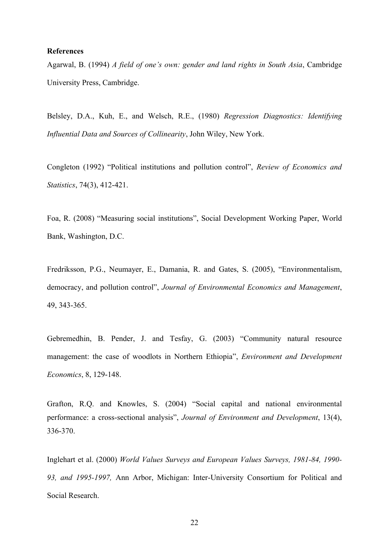#### **References**

Agarwal, B. (1994) *A field of one's own: gender and land rights in South Asia*, Cambridge University Press, Cambridge.

Belsley, D.A., Kuh, E., and Welsch, R.E., (1980) *Regression Diagnostics: Identifying Influential Data and Sources of Collinearity*, John Wiley, New York.

Congleton (1992) "Political institutions and pollution control", *Review of Economics and Statistics*, 74(3), 412-421.

Foa, R. (2008) "Measuring social institutions", Social Development Working Paper, World Bank, Washington, D.C.

Fredriksson, P.G., Neumayer, E., Damania, R. and Gates, S. (2005), "Environmentalism, democracy, and pollution control", *Journal of Environmental Economics and Management*, 49, 343-365.

Gebremedhin, B. Pender, J. and Tesfay, G. (2003) "Community natural resource management: the case of woodlots in Northern Ethiopia", *Environment and Development Economics*, 8, 129-148.

Grafton, R.Q. and Knowles, S. (2004) "Social capital and national environmental performance: a cross-sectional analysis", *Journal of Environment and Development*, 13(4), 336-370.

Inglehart et al. (2000) *World Values Surveys and European Values Surveys, 1981-84, 1990- 93, and 1995-1997,* Ann Arbor, Michigan: Inter-University Consortium for Political and Social Research.

22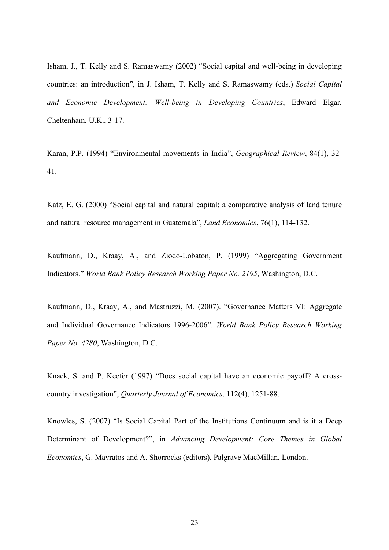Isham, J., T. Kelly and S. Ramaswamy (2002) "Social capital and well-being in developing countries: an introduction", in J. Isham, T. Kelly and S. Ramaswamy (eds.) *Social Capital and Economic Development: Well-being in Developing Countries*, Edward Elgar, Cheltenham, U.K., 3-17.

Karan, P.P. (1994) "Environmental movements in India", *Geographical Review*, 84(1), 32- 41.

Katz, E. G. (2000) "Social capital and natural capital: a comparative analysis of land tenure and natural resource management in Guatemala", *Land Economics*, 76(1), 114-132.

Kaufmann, D., Kraay, A., and Ziodo-Lobatόn, P. (1999) "Aggregating Government Indicators." *World Bank Policy Research Working Paper No. 2195*, Washington, D.C.

Kaufmann, D., Kraay, A., and Mastruzzi, M. (2007). "Governance Matters VI: Aggregate and Individual Governance Indicators 1996-2006". *World Bank Policy Research Working Paper No. 4280*, Washington, D.C.

Knack, S. and P. Keefer (1997) "Does social capital have an economic payoff? A crosscountry investigation", *Quarterly Journal of Economics*, 112(4), 1251-88.

Knowles, S. (2007) "Is Social Capital Part of the Institutions Continuum and is it a Deep Determinant of Development?", in *Advancing Development: Core Themes in Global Economics*, G. Mavratos and A. Shorrocks (editors), Palgrave MacMillan, London.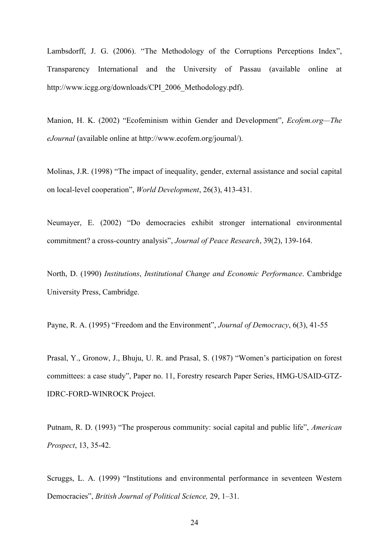Lambsdorff, J. G. (2006). "The Methodology of the Corruptions Perceptions Index", Transparency International and the University of Passau (available online at http://www.icgg.org/downloads/CPI\_2006\_Methodology.pdf).

Manion, H. K. (2002) "Ecofeminism within Gender and Development", *Ecofem.org—The eJournal* (available online at http://www.ecofem.org/journal/).

Molinas, J.R. (1998) "The impact of inequality, gender, external assistance and social capital on local-level cooperation", *World Development*, 26(3), 413-431.

Neumayer, E. (2002) "Do democracies exhibit stronger international environmental commitment? a cross-country analysis", *Journal of Peace Research*, 39(2), 139-164.

North, D. (1990) *Institutions*, *Institutional Change and Economic Performance*. Cambridge University Press, Cambridge.

Payne, R. A. (1995) "Freedom and the Environment", *Journal of Democracy*, 6(3), 41-55

Prasal, Y., Gronow, J., Bhuju, U. R. and Prasal, S. (1987) "Women's participation on forest committees: a case study", Paper no. 11, Forestry research Paper Series, HMG-USAID-GTZ-IDRC-FORD-WINROCK Project.

Putnam, R. D. (1993) "The prosperous community: social capital and public life", *American Prospect*, 13, 35-42.

Scruggs, L. A. (1999) "Institutions and environmental performance in seventeen Western Democracies", *British Journal of Political Science,* 29, 1–31.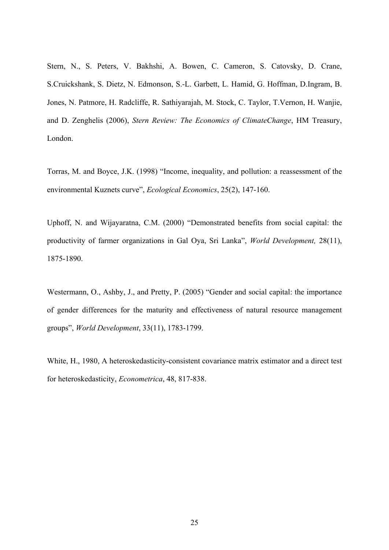Stern, N., S. Peters, V. Bakhshi, A. Bowen, C. Cameron, S. Catovsky, D. Crane, S.Cruickshank, S. Dietz, N. Edmonson, S.-L. Garbett, L. Hamid, G. Hoffman, D.Ingram, B. Jones, N. Patmore, H. Radcliffe, R. Sathiyarajah, M. Stock, C. Taylor, T.Vernon, H. Wanjie, and D. Zenghelis (2006), *Stern Review: The Economics of ClimateChange*, HM Treasury, London.

Torras, M. and Boyce, J.K. (1998) "Income, inequality, and pollution: a reassessment of the environmental Kuznets curve", *Ecological Economics*, 25(2), 147-160.

Uphoff, N. and Wijayaratna, C.M. (2000) "Demonstrated benefits from social capital: the productivity of farmer organizations in Gal Oya, Sri Lanka", *World Development,* 28(11), 1875-1890.

Westermann, O., Ashby, J., and Pretty, P. (2005) "Gender and social capital: the importance of gender differences for the maturity and effectiveness of natural resource management groups", *World Development*, 33(11), 1783-1799.

White, H., 1980, A heteroskedasticity-consistent covariance matrix estimator and a direct test for heteroskedasticity, *Econometrica*, 48, 817-838.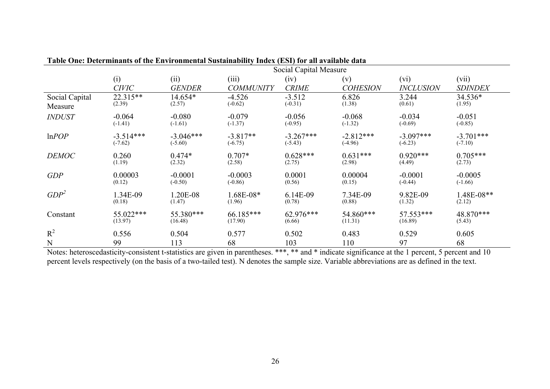|                  | Social Capital Measure |               |                  |              |                 |                  |                |  |  |
|------------------|------------------------|---------------|------------------|--------------|-----------------|------------------|----------------|--|--|
|                  | (i)                    | (ii)          | (iii)            | (iv)         | (v)             | (vi)             | (vii)          |  |  |
|                  | <b>CIVIC</b>           | <b>GENDER</b> | <b>COMMUNITY</b> | <b>CRIME</b> | <b>COHESION</b> | <b>INCLUSION</b> | <b>SDINDEX</b> |  |  |
| Social Capital   | 22.315**               | 14.654*       | $-4.526$         | $-3.512$     | 6.826           | 3.244            | 34.536*        |  |  |
| Measure          | (2.39)                 | (2.57)        | $(-0.62)$        | $(-0.31)$    | (1.38)          | (0.61)           | (1.95)         |  |  |
| <b>INDUST</b>    | $-0.064$               | $-0.080$      | $-0.079$         | $-0.056$     | $-0.068$        | $-0.034$         | $-0.051$       |  |  |
|                  | $(-1.41)$              | $(-1.61)$     | $(-1.37)$        | $(-0.95)$    | $(-1.32)$       | $(-0.69)$        | $(-0.85)$      |  |  |
| lnPOP            | $-3.514***$            | $-3.046***$   | $-3.817**$       | $-3.267***$  | $-2.812***$     | $-3.097***$      | $-3.701***$    |  |  |
|                  | $(-7.62)$              | $(-5.60)$     | $(-6.75)$        | $(-5.43)$    | $(-4.96)$       | $(-6.23)$        | $(-7.10)$      |  |  |
| <b>DEMOC</b>     | 0.260                  | $0.474*$      | $0.707*$         | $0.628***$   | $0.631***$      | $0.920***$       | $0.705***$     |  |  |
|                  | (1.19)                 | (2.32)        | (2.58)           | (2.75)       | (2.98)          | (4.49)           | (2.73)         |  |  |
| GDP              | 0.00003                | $-0.0001$     | $-0.0003$        | 0.0001       | 0.00004         | $-0.0001$        | $-0.0005$      |  |  |
|                  | (0.12)                 | $(-0.50)$     | $(-0.86)$        | (0.56)       | (0.15)          | $(-0.44)$        | $(-1.66)$      |  |  |
| GDP <sup>2</sup> | 1.34E-09               | 1.20E-08      | 1.68E-08*        | 6.14E-09     | 7.34E-09        | 9.82E-09         | 1.48E-08**     |  |  |
|                  | (0.18)                 | (1.47)        | (1.96)           | (0.78)       | (0.88)          | (1.32)           | (2.12)         |  |  |
| Constant         | 55.022***              | 55.380***     | 66.185***        | 62.976***    | 54.860***       | 57.553***        | 48.870***      |  |  |
|                  | (13.97)                | (16.48)       | (17.90)          | (6.66)       | (11.31)         | (16.89)          | (5.43)         |  |  |
| $R^2$            | 0.556                  | 0.504         | 0.577            | 0.502        | 0.483           | 0.529            | 0.605          |  |  |
| N                | 99                     | 113           | 68               | 103          | 110             | 97               | 68             |  |  |

| Table One: Determinants of the Environmental Sustainability Index (ESI) for all available data |  |  |  |
|------------------------------------------------------------------------------------------------|--|--|--|
|------------------------------------------------------------------------------------------------|--|--|--|

Notes: heteroscedasticity-consistent t-statistics are given in parentheses. \*\*\*, \*\* and \* indicate significance at the 1 percent, 5 percent and 10 percent levels respectively (on the basis of a two-tailed test). N denotes the sample size. Variable abbreviations are as defined in the text.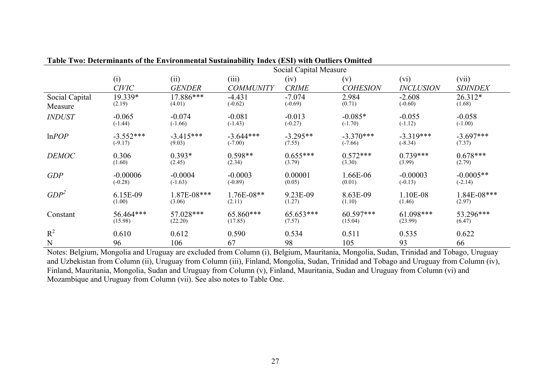|                  | Social Capital Measure |               |                  |              |                 |                  |                |  |
|------------------|------------------------|---------------|------------------|--------------|-----------------|------------------|----------------|--|
|                  | (i)                    | (ii)          | (iii)            | (iv)         | (v)             | (vi)             | (vii)          |  |
|                  | <b>CIVIC</b>           | <b>GENDER</b> | <b>COMMUNITY</b> | <b>CRIME</b> | <b>COHESION</b> | <b>INCLUSION</b> | <b>SDINDEX</b> |  |
| Social Capital   | 19.339*                | 17.886***     | $-4.431$         | $-7.074$     | 2.984           | $-2.608$         | $26.312*$      |  |
| Measure          | (2.19)                 | (4.01)        | $(-0.62)$        | $(-0.69)$    | (0.71)          | $(-0.60)$        | (1.68)         |  |
| <b>INDUST</b>    | $-0.065$               | $-0.074$      | $-0.081$         | $-0.013$     | $-0.085*$       | $-0.055$         | $-0.058$       |  |
|                  | $(-1.44)$              | $(-1.66)$     | $(-1.43)$        | $(-0.27)$    | $(-1.70)$       | $(-1.12)$        | $(-1.00)$      |  |
| lnPOP            | $-3.552***$            | $-3.415***$   | $-3.644***$      | $-3.295**$   | $-3.370***$     | $-3.319***$      | $-3.697***$    |  |
|                  | $(-9.17)$              | (9.03)        | $(-7.00)$        | (7.55)       | $(-7.66)$       | $(-8.34)$        | (7.37)         |  |
| <b>DEMOC</b>     | 0.306                  | $0.393*$      | $0.598**$        | $0.655***$   | $0.572***$      | $0.739***$       | $0.678***$     |  |
|                  | (1.60)                 | (2.45)        | (2.34)           | (3.79)       | (3.30)          | (3.99)           | (2.79)         |  |
| <b>GDP</b>       | $-0.00006$             | $-0.0004$     | $-0.0003$        | 0.00001      | 1.66E-06        | $-0.00003$       | $-0.0005**$    |  |
|                  | $(-0.28)$              | $(-1.63)$     | $(-0.89)$        | (0.05)       | (0.01)          | $(-0.13)$        | $(-2.14)$      |  |
| GDP <sup>2</sup> | 6.15E-09               | 1.87E-08***   | 1.76E-08**       | 9.23E-09     | 8.63E-09        | 1.10E-08         | 1.84E-08***    |  |
|                  | (1.00)                 | (3.06)        | (2.11)           | (1.27)       | (1.10)          | (1.46)           | (2.97)         |  |
| Constant         | 56.464***              | 57.028***     | 65.860***        | 65.653***    | 60.597***       | $61.098***$      | 53.296***      |  |
|                  | (15.98)                | (22.20)       | (17.85)          | (7.57)       | (15.04)         | (23.99)          | (6.47)         |  |
| $R^2$            | 0.610                  | 0.612         | 0.590            | 0.534        | 0.511           | 0.535            | 0.622          |  |
| N                | 96                     | 106           | 67               | 98           | 105             | 93               | 66             |  |

| Table Two: Determinants of the Environmental Sustainability Index (ESI) with Outliers Omitted |  |  |  |
|-----------------------------------------------------------------------------------------------|--|--|--|
|-----------------------------------------------------------------------------------------------|--|--|--|

Notes: Belgium, Mongolia and Uruguay are excluded from Column (i), Belgium, Mauritania, Mongolia, Sudan, Trinidad and Tobago, Uruguay and Uzbekistan from Column (ii), Uruguay from Column (iii), Finland, Mongolia, Sudan, Trinidad and Tobago and Uruguay from Column (iv), Finland, Mauritania, Mongolia, Sudan and Uruguay from Column (v), Finland, Mauritania, Sudan and Uruguay from Column (vi) and Mozambique and Uruguay from Column (vii). See also notes to Table One.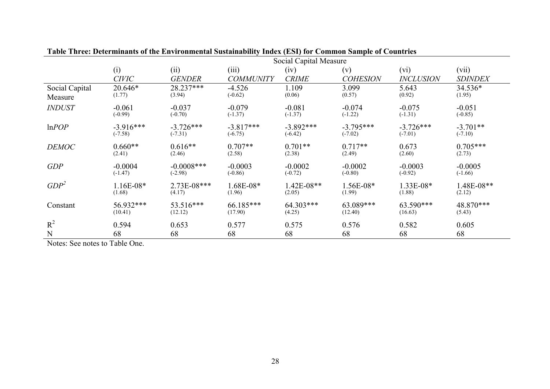|                | Social Capital Measure |               |                  |              |                 |                  |                |  |
|----------------|------------------------|---------------|------------------|--------------|-----------------|------------------|----------------|--|
|                | (i)                    | (ii)          | (iii)            | (iv)         | (v)             | (vi)             | (vii)          |  |
|                | <b>CIVIC</b>           | <b>GENDER</b> | <b>COMMUNITY</b> | <b>CRIME</b> | <b>COHESION</b> | <b>INCLUSION</b> | <b>SDINDEX</b> |  |
| Social Capital | 20.646*                | 28.237***     | $-4.526$         | 1.109        | 3.099           | 5.643            | 34.536*        |  |
| Measure        | (1.77)                 | (3.94)        | $(-0.62)$        | (0.06)       | (0.57)          | (0.92)           | (1.95)         |  |
| <b>INDUST</b>  | $-0.061$               | $-0.037$      | $-0.079$         | $-0.081$     | $-0.074$        | $-0.075$         | $-0.051$       |  |
|                | $(-0.99)$              | $(-0.70)$     | $(-1.37)$        | $(-1.37)$    | $(-1.22)$       | $(-1.31)$        | $(-0.85)$      |  |
| lnPOP          | $-3.916***$            | $-3.726***$   | $-3.817***$      | $-3.892***$  | $-3.795***$     | $-3.726***$      | $-3.701**$     |  |
|                | $(-7.58)$              | $(-7.31)$     | $(-6.75)$        | $(-6.42)$    | $(-7.02)$       | $(-7.01)$        | $(-7.10)$      |  |
| <b>DEMOC</b>   | $0.660**$              | $0.616**$     | $0.707**$        | $0.701**$    | $0.717**$       | 0.673            | $0.705***$     |  |
|                | (2.41)                 | (2.46)        | (2.58)           | (2.38)       | (2.49)          | (2.60)           | (2.73)         |  |
| GDP            | $-0.0004$              | $-0.0008$ *** | $-0.0003$        | $-0.0002$    | $-0.0002$       | $-0.0003$        | $-0.0005$      |  |
|                | $(-1.47)$              | $(-2.98)$     | $(-0.86)$        | $(-0.72)$    | $(-0.80)$       | $(-0.92)$        | $(-1.66)$      |  |
| $GDP^2$        | $1.16E-08*$            | 2.73E-08***   | 1.68E-08*        | 1.42E-08**   | 1.56E-08*       | 1.33E-08*        | 1.48E-08**     |  |
|                | (1.68)                 | (4.17)        | (1.96)           | (2.05)       | (1.99)          | (1.88)           | (2.12)         |  |
| Constant       | 56.932***              | 53.516***     | 66.185***        | 64.303***    | 63.089***       | 63.590***        | 48.870***      |  |
|                | (10.41)                | (12.12)       | (17.90)          | (4.25)       | (12.40)         | (16.63)          | (5.43)         |  |
| $R^2$          | 0.594                  | 0.653         | 0.577            | 0.575        | 0.576           | 0.582            | 0.605          |  |
| N              | 68                     | 68            | 68               | 68           | 68              | 68               | 68             |  |

Notes: See notes to Table One.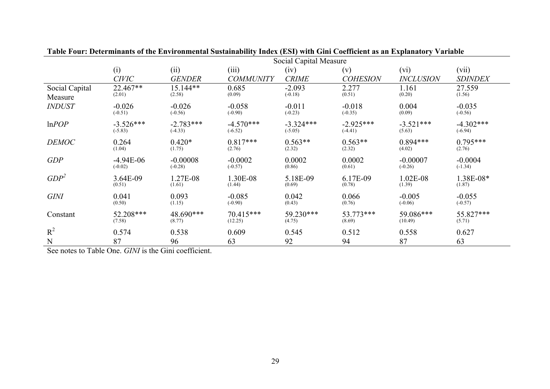|                  | Social Capital Measure |               |                  |              |                 |                  |                |  |
|------------------|------------------------|---------------|------------------|--------------|-----------------|------------------|----------------|--|
|                  | (i)                    | (ii)          | (iii)            | (iv)         | (v)             | (vi)             | (vii)          |  |
|                  | <b>CIVIC</b>           | <b>GENDER</b> | <b>COMMUNITY</b> | <b>CRIME</b> | <b>COHESION</b> | <b>INCLUSION</b> | <b>SDINDEX</b> |  |
| Social Capital   | 22.467**               | $15.144**$    | 0.685            | $-2.093$     | 2.277           | 1.161            | 27.559         |  |
| Measure          | (2.01)                 | (2.58)        | (0.09)           | $(-0.18)$    | (0.51)          | (0.20)           | (1.56)         |  |
| <b>INDUST</b>    | $-0.026$               | $-0.026$      | $-0.058$         | $-0.011$     | $-0.018$        | 0.004            | $-0.035$       |  |
|                  | $(-0.51)$              | $(-0.56)$     | $(-0.90)$        | $(-0.23)$    | $(-0.35)$       | (0.09)           | $(-0.56)$      |  |
| lnPOP            | $-3.526***$            | $-2.783***$   | $-4.570***$      | $-3.324***$  | $-2.925***$     | $-3.521***$      | $-4.302***$    |  |
|                  | $(-5.83)$              | $(-4.33)$     | $(-6.52)$        | $(-5.05)$    | $(-4.41)$       | (5.63)           | $(-6.94)$      |  |
| <b>DEMOC</b>     | 0.264                  | $0.420*$      | $0.817***$       | $0.563**$    | $0.563**$       | $0.894***$       | $0.795***$     |  |
|                  | (1.04)                 | (1.75)        | (2.76)           | (2.32)       | (2.32)          | (4.02)           | (2.76)         |  |
| <b>GDP</b>       | $-4.94E-06$            | $-0.00008$    | $-0.0002$        | 0.0002       | 0.0002          | $-0.00007$       | $-0.0004$      |  |
|                  | $(-0.02)$              | $(-0.28)$     | $(-0.57)$        | (0.86)       | (0.61)          | $(-0.26)$        | $(-1.34)$      |  |
| GDP <sup>2</sup> | 3.64E-09               | 1.27E-08      | 1.30E-08         | 5.18E-09     | 6.17E-09        | 1.02E-08         | 1.38E-08*      |  |
|                  | (0.51)                 | (1.61)        | (1.44)           | (0.69)       | (0.78)          | (1.39)           | (1.87)         |  |
| <b>GINI</b>      | 0.041                  | 0.093         | $-0.085$         | 0.042        | 0.066           | $-0.005$         | $-0.055$       |  |
|                  | (0.50)                 | (1.15)        | $(-0.90)$        | (0.43)       | (0.76)          | $(-0.06)$        | $(-0.57)$      |  |
| Constant         | 52.208***              | 48.690***     | 70.415***        | 59.230***    | 53.773***       | 59.086***        | 55.827***      |  |
|                  | (7.58)                 | (8.77)        | (12.25)          | (4.75)       | (8.69)          | (10.49)          | (5.71)         |  |
| $R^2$            | 0.574                  | 0.538         | 0.609            | 0.545        | 0.512           | 0.558            | 0.627          |  |
| N                | 87                     | 96            | 63               | 92           | 94              | 87               | 63             |  |

See notes to Table One. *GINI* is the Gini coefficient.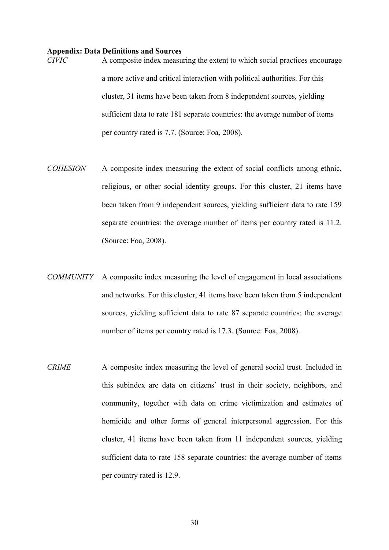# **Appendix: Data Definitions and Sources**

*CIVIC* A composite index measuring the extent to which social practices encourage a more active and critical interaction with political authorities. For this cluster, 31 items have been taken from 8 independent sources, yielding sufficient data to rate 181 separate countries: the average number of items per country rated is 7.7. (Source: Foa, 2008).

- *COHESION* A composite index measuring the extent of social conflicts among ethnic, religious, or other social identity groups. For this cluster, 21 items have been taken from 9 independent sources, yielding sufficient data to rate 159 separate countries: the average number of items per country rated is 11.2. (Source: Foa, 2008).
- *COMMUNITY* A composite index measuring the level of engagement in local associations and networks. For this cluster, 41 items have been taken from 5 independent sources, yielding sufficient data to rate 87 separate countries: the average number of items per country rated is 17.3. (Source: Foa, 2008).
- *CRIME* A composite index measuring the level of general social trust. Included in this subindex are data on citizens' trust in their society, neighbors, and community, together with data on crime victimization and estimates of homicide and other forms of general interpersonal aggression. For this cluster, 41 items have been taken from 11 independent sources, yielding sufficient data to rate 158 separate countries: the average number of items per country rated is 12.9.

30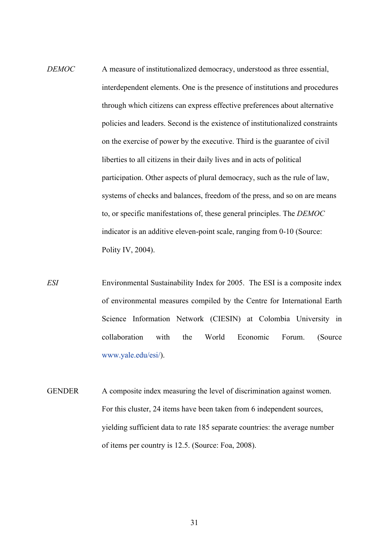- *DEMOC* A measure of institutionalized democracy, understood as three essential, interdependent elements. One is the presence of institutions and procedures through which citizens can express effective preferences about alternative policies and leaders. Second is the existence of institutionalized constraints on the exercise of power by the executive. Third is the guarantee of civil liberties to all citizens in their daily lives and in acts of political participation. Other aspects of plural democracy, such as the rule of law, systems of checks and balances, freedom of the press, and so on are means to, or specific manifestations of, these general principles. The *DEMOC* indicator is an additive eleven-point scale, ranging from 0-10 (Source: Polity IV, 2004).
- *ESI* Environmental Sustainability Index for 2005. The ESI is a composite index of environmental measures compiled by the Centre for International Earth Science Information Network (CIESIN) at Colombia University in collaboration with the World Economic Forum. (Source www.yale.edu/esi/).
- GENDER A composite index measuring the level of discrimination against women. For this cluster, 24 items have been taken from 6 independent sources, yielding sufficient data to rate 185 separate countries: the average number of items per country is 12.5. (Source: Foa, 2008).